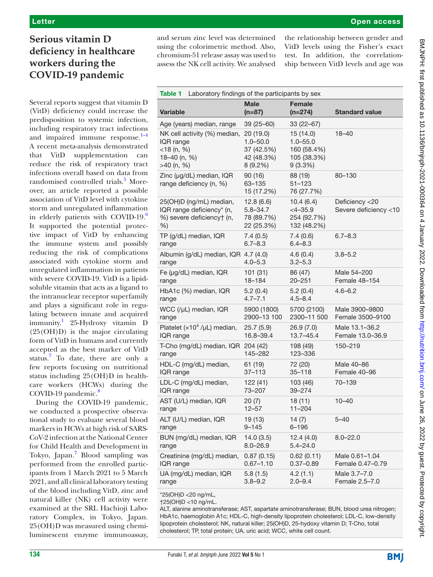## Open access

# **Serious vitamin D deficiency in healthcare workers during the COVID-19 pandemic**

Several reports suggest that vitamin D (VitD) deficiency could increase the predisposition to systemic infection, including respiratory tract infections and impaired immune response.<sup>1-4</sup> A recent meta-analysis demonstrated that VitD supplementation can reduce the risk of respiratory tract infections overall based on data from randomised controlled trials.<sup>5</sup> Moreover, an article reported a possible association of VitD level with cytokine storm and unregulated inflammation in elderly patients with COVID-19.<sup>[6](#page-2-2)</sup> It supported the potential protective impact of VitD by enhancing the immune system and possibly reducing the risk of complications associated with cytokine storm and unregulated inflammation in patients with severe COVID-19. VitD is a lipidsoluble vitamin that acts as a ligand to the intranuclear receptor superfamily and plays a significant role in regulating between innate and acquired immunity.<sup>1</sup> 25-Hydroxy vitamin D (25(OH)D) is the major circulating form of VitD in humans and currently accepted as the best marker of VitD status.<sup>7</sup> To date, there are only a few reports focusing on nutritional status including 25(OH)D in healthcare workers (HCWs) during the COVID-19 pandemic.<sup>[8](#page-2-4)</sup>

During the COVID-19 pandemic, we conducted a prospective observational study to evaluate several blood markers in HCWs at high risk of SARS-CoV-2 infection at the National Center for Child Health and Development in Tokyo, Japan.<sup>7</sup> Blood sampling was performed from the enrolled participants from 1 March 2021 to 5 March 2021, and all clinical laboratory testing of the blood including VitD, zinc and natural killer (NK) cell activity were examined at the SRL Hachioji Laboratory Complex, in Tokyo, Japan. 25(OH)D was measured using chemiluminescent enzyme immunoassay,

and serum zinc level was determined using the colorimetric method. Also, chromium-51 release assay was used to assess the NK cell activity. We analysed

the relationship between gender and VitD levels using the Fisher's exact test. In addition, the correlationship between VitD levels and age was

<span id="page-0-0"></span>

| Table 1<br>Laboratory findings of the participants by sex                              |                                                       |                                                       |                                         |
|----------------------------------------------------------------------------------------|-------------------------------------------------------|-------------------------------------------------------|-----------------------------------------|
| <b>Variable</b>                                                                        | <b>Male</b><br>$(n=87)$                               | <b>Female</b><br>$(n=274)$                            | <b>Standard value</b>                   |
| Age (years) median, range                                                              | 39 (25–60)                                            | $33(22-67)$                                           |                                         |
| NK cell activity (%) median,                                                           | 20(19.0)                                              | 15 (14.0)                                             | $18 - 40$                               |
| IQR range                                                                              | $1.0 - 50.0$                                          | $1.0 - 55.0$                                          |                                         |
| $<$ 18 (n, %)                                                                          | 37 (42.5%)                                            | 160 (58.4%)                                           |                                         |
| 18-40 (n, %)                                                                           | 42 (48.3%)                                            | 105 (38.3%)                                           |                                         |
| >40 (n, %)                                                                             | 8 (9.2%)                                              | $9(3.3\%)$                                            |                                         |
| Zinc (µg/dL) median, IQR<br>range deficiency (n, %)                                    | 90 (16)<br>63-135<br>15 (17.2%)                       | 88 (19)<br>$51 - 123$<br>76 (27.7%)                   | 80-130                                  |
| 25(OH)D (ng/mL) median,<br>IQR range deficiency* (n,<br>%) severe deficiency† (n,<br>% | 12.8(6.6)<br>$5.8 - 34.7$<br>78 (89.7%)<br>22 (25.3%) | 10.4(6.4)<br>$<$ 4-35.9<br>254 (92.7%)<br>132 (48.2%) | Deficiency <20<br>Severe deficiency <10 |
| TP (g/dL) median, IQR                                                                  | 7.4(0.5)                                              | 7.4(0.6)                                              | $6.7 - 8.3$                             |
| range                                                                                  | $6.7 - 8.3$                                           | $6.4 - 8.3$                                           |                                         |
| Albumin (g/dL) median, IQR 4.7 (4.0)<br>range                                          | $4.0 - 5.3$                                           | 4.6(0.4)<br>$3.2 - 5.3$                               | $3.8 - 5.2$                             |
| Fe (µg/dL) median, IQR                                                                 | 101 (31)                                              | 86 (47)                                               | Male 54-200                             |
| range                                                                                  | 18-184                                                | $20 - 251$                                            | Female 48-154                           |
| HbA1c (%) median, IQR                                                                  | 5.2(0.4)                                              | 5.2(0.4)                                              | $4.6 - 6.2$                             |
| range                                                                                  | $4.7 - 7.1$                                           | $4.5 - 8.4$                                           |                                         |
| WCC (/µL) median, IQR                                                                  | 5900 (1800)                                           | 5700 (2100)                                           | Male 3900–9800                          |
| range                                                                                  | 2900-13 100                                           | 2300-11 500                                           | Female 3500-9100                        |
| Platelet ( $\times$ 10 <sup>4</sup> /µL) median,                                       | 25.7 (5.9)                                            | 26.9(7.0)                                             | Male 13.1-36.2                          |
| IQR range                                                                              | 16.8-39.4                                             | $13.7 - 45.4$                                         | Female 13.0-36.9                        |
| T-Cho (mg/dL) median, IQR 204 (42)<br>range                                            | 145–282                                               | 198 (49)<br>123-336                                   | 150-219                                 |
| HDL-C (mg/dL) median,                                                                  | 61 (19)                                               | 72 (20)                                               | Male 40-86                              |
| IQR range                                                                              | $37 - 113$                                            | 35–118                                                | Female 40-96                            |
| LDL-C (mg/dL) median,                                                                  | 122(41)                                               | 103 (46)                                              | 70–139                                  |
| IQR range                                                                              | 73-207                                                | 39-274                                                |                                         |
| AST (U/L) median, IQR                                                                  | 20(7)                                                 | 18(11)                                                | $10 - 40$                               |
| range                                                                                  | $12 - 57$                                             | $11 - 204$                                            |                                         |
| ALT (U/L) median, IQR                                                                  | 19 (13)                                               | 14 $(7)$                                              | $5 - 40$                                |
| range                                                                                  | $9 - 145$                                             | $6 - 196$                                             |                                         |
| BUN (mg/dL) median, IQR                                                                | 14.0(3.5)                                             | 12.4(4.0)                                             | $8.0 - 22.0$                            |
| range                                                                                  | $8.0 - 26.9$                                          | $5.4 - 24.0$                                          |                                         |
| Creatinine (mg/dL) median,                                                             | 0.87(0.15)                                            | 0.62(0.11)                                            | Male 0.61-1.04                          |
| IQR range                                                                              | $0.67 - 1.10$                                         | $0.37 - 0.89$                                         | Female 0.47-0.79                        |
| UA (mg/dL) median, IQR                                                                 | 5.8(1.5)                                              | 4.2(1.1)                                              | Male 3.7-7.0                            |
| range                                                                                  | $3.8 - 9.2$                                           | $2.0 - 9.4$                                           | Female 2.5-7.0                          |

\*25(OH)D <20 ng/mL,

†25(OH)D <10 ng/mL.

ALT, alanine aminotransferase; AST, aspartate aminotransferase; BUN, blood urea nitrogen; HbA1c, haemoglobin A1c; HDL-C, high-density lipoprotein cholesterol; LDL-C, low-density lipoprotein cholesterol; NK, natural killer; 25(OH)D, 25-hydoxy vitamin D; T-Cho, total cholesterol; TP, total protein; UA, uric acid; WCC, white cell count.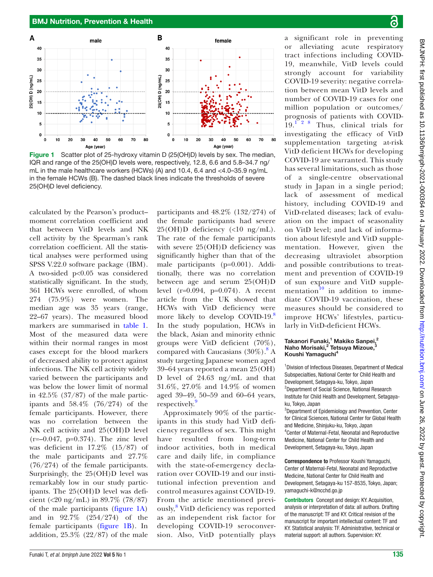

<span id="page-1-0"></span>Figure 1 Scatter plot of 25-hydroxy vitamin D (25(OH)D) levels by sex. The median, IQR and range of the 25(OH)D levels were, respectively, 12.8, 6.6 and 5.8–34.7 ng/ mL in the male healthcare workers (HCWs) (A) and 10.4, 6.4 and <4.0–35.9 ng/mL in the female HCWs (B). The dashed black lines indicate the thresholds of severe 25(OH)D level deficiency.

calculated by the Pearson's product– moment correlation coefficient and that between VitD levels and NK cell activity by the Spearman's rank correlation coefficient. All the statistical analyses were performed using SPSS V.22.0 software package (IBM). A two-sided p<0.05 was considered statistically significant. In the study, 361 HCWs were enrolled, of whom 274 (75.9%) were women. The median age was 35 years (range, 22–67 years). The measured blood markers are summarised in [table](#page-0-0) 1. Most of the measured data were within their normal ranges in most cases except for the blood markers of decreased ability to protect against infections. The NK cell activity widely varied between the participants and was below the lower limit of normal in 42.5% (37/87) of the male participants and 58.4% (76/274) of the female participants. However, there was no correlation between the NK cell activity and 25(OH)D level (r=–0.047, p=0.374). The zinc level was deficient in 17.2% (15/87) of the male participants and 27.7% (76/274) of the female participants. Surprisingly, the 25(OH)D level was remarkably low in our study participants. The 25(OH)D level was deficient (<20 ng/mL) in 89.7% (78/87) of the male participants [\(figure](#page-1-0) 1A) and in 92.7% (254/274) of the female participants ([figure](#page-1-0) 1B). In addition, 25.3% (22/87) of the male participants and 48.2% (132/274) of the female participants had severe 25(OH)D deficiency (<10 ng/mL). The rate of the female participants with severe 25(OH)D deficiency was significantly higher than that of the male participants (p=0.001). Additionally, there was no correlation between age and serum 25(OH)D level (r=0.094, p=0.074). A recent article from the UK showed that HCWs with VitD deficiency were more likely to develop COVID-19.<sup>[8](#page-2-4)</sup> In the study population, HCWs in the black, Asian and minority ethnic groups were VitD deficient (70%), compared with Caucasians (30%).<sup>[8](#page-2-4)</sup> A study targeting Japanese women aged 39–64 years reported a mean 25(OH) D level of 24.63 ng/mL and that 31.6%, 27.0% and 14.9% of women aged 39–49, 50–59 and 60–64 years, respectively.<sup>9</sup>

Approximately 90% of the participants in this study had VitD deficiency regardless of sex. This might have resulted from long-term indoor activities, both in medical care and daily life, in compliance with the state-of-emergency declaration over COVID-19 and our institutional infection prevention and control measures against COVID-19. From the article mentioned previ-ously,<sup>[8](#page-2-4)</sup> VitD deficiency was reported as an independent risk factor for developing COVID-19 seroconversion. Also, VitD potentially plays

significant role in preventing or alleviating acute respiratory tract infections including COVID-19, meanwhile, VitD levels could strongly account for variability COVID-19 severity: negative correlation between mean VitD levels and number of COVID-19 cases for one million population or outcomes/ prognosis of patients with COVID- $19<sup>1</sup>$ <sup>2</sup> <sup>8</sup> Thus, clinical trials for investigating the efficacy of VitD supplementation targeting at-risk VitD deficient HCWs for developing COVID-19 are warranted. This study has several limitations, such as those of a single-centre observational study in Japan in a single period; lack of assessment of medical history, including COVID-19 and VitD-related diseases; lack of evaluation on the impact of seasonality on VitD level; and lack of information about lifestyle and VitD supplementation. However, given the decreasing ultraviolet absorption and possible contributions to treatment and prevention of COVID-19 of sun exposure and VitD supple-mentation<sup>[10](#page-2-6)</sup> in addition to immediate COVID-19 vaccination, these measures should be considered to improve HCWs' lifestyles, particularly in VitD-deficient HCWs.

#### Takanori Funaki,<sup>1</sup> Makiko Sanpei,<sup>2</sup> Naho Morisaki,<sup>2</sup> Tetsuya Mizoue,<sup>3</sup> Koushi Yamaguchi<sup>4</sup>

<sup>1</sup> Division of Infectious Diseases, Department of Medical Subspecialties, National Center for Child Health and Development, Setagaya-ku, Tokyo, Japan <sup>2</sup>Department of Social Science, National Research Institute for Child Health and Development, Setagayaku, Tokyo, Japan

3 Department of Epidemiology and Prevention, Center for Clinical Sciences, National Center for Global Health and Medicine, Shinjuku-ku, Tokyo, Japan 4 Center of Maternal-Fetal, Neonatal and Reproductive Medicine, National Center for Child Health and Development, Setagaya-ku, Tokyo, Japan

Correspondence to Professor Koushi Yamaguchi, Center of Maternal-Fetal, Neonatal and Reproductive Medicine, National Center for Child Health and Development, Setagaya-ku 157-8535, Tokyo, Japan; yamaguchi-k@ncchd.go.jp

Contributors Concept and design: KY. Acquisition, analysis or interpretation of data: all authors. Drafting of the manuscript: TF and KY. Critical revision of the manuscript for important intellectual content: TF and KY. Statistical analysis: TF. Administrative, technical or material support: all authors. Supervision: KY.